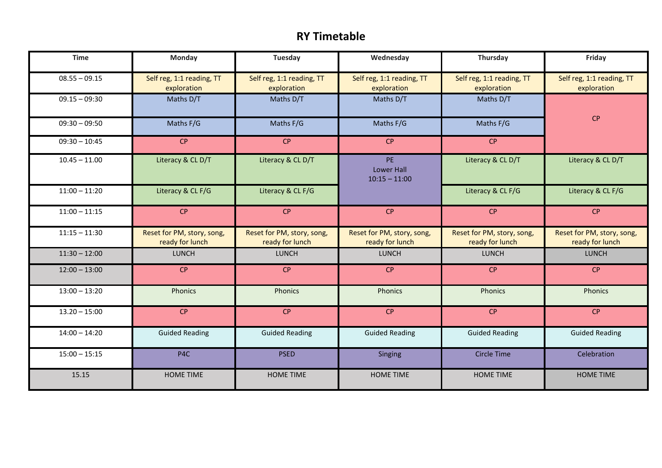## **RY Timetable**

| <b>Time</b>     | Monday                                        | <b>Tuesday</b>                                | Wednesday                                     | Thursday                                      | Friday                                        |
|-----------------|-----------------------------------------------|-----------------------------------------------|-----------------------------------------------|-----------------------------------------------|-----------------------------------------------|
| $08.55 - 09.15$ | Self reg, 1:1 reading, TT<br>exploration      | Self reg, 1:1 reading, TT<br>exploration      | Self reg, 1:1 reading, TT<br>exploration      | Self reg, 1:1 reading, TT<br>exploration      | Self reg, 1:1 reading, TT<br>exploration      |
| $09.15 - 09:30$ | Maths D/T                                     | Maths D/T                                     | Maths D/T                                     | Maths D/T                                     |                                               |
| $09:30 - 09:50$ | Maths F/G                                     | Maths F/G                                     | Maths F/G                                     | Maths F/G                                     | CP                                            |
| $09:30 - 10:45$ | CP                                            | CP                                            | CP                                            | CP                                            |                                               |
| $10.45 - 11.00$ | Literacy & CL D/T                             | Literacy & CL D/T                             | PE<br><b>Lower Hall</b><br>$10:15 - 11:00$    | Literacy & CL D/T                             | Literacy & CL D/T                             |
| $11:00 - 11:20$ | Literacy & CL F/G                             | Literacy & CL F/G                             |                                               | Literacy & CL F/G                             | Literacy & CL F/G                             |
| $11:00 - 11:15$ | CP                                            | CP                                            | CP                                            | CP                                            | CP                                            |
| $11:15 - 11:30$ | Reset for PM, story, song,<br>ready for lunch | Reset for PM, story, song,<br>ready for lunch | Reset for PM, story, song,<br>ready for lunch | Reset for PM, story, song,<br>ready for lunch | Reset for PM, story, song,<br>ready for lunch |
| $11:30 - 12:00$ | <b>LUNCH</b>                                  | LUNCH                                         | <b>LUNCH</b>                                  | <b>LUNCH</b>                                  | <b>LUNCH</b>                                  |
| $12:00 - 13:00$ | CP                                            | CP                                            | CP                                            | CP                                            | CP                                            |
| $13:00 - 13:20$ | Phonics                                       | <b>Phonics</b>                                | Phonics                                       | Phonics                                       | Phonics                                       |
| $13.20 - 15:00$ | <b>CP</b>                                     | CP                                            | CP                                            | CP                                            | CP                                            |
| $14:00 - 14:20$ | <b>Guided Reading</b>                         | <b>Guided Reading</b>                         | <b>Guided Reading</b>                         | <b>Guided Reading</b>                         | <b>Guided Reading</b>                         |
| $15:00 - 15:15$ | P4C                                           | <b>PSED</b>                                   | Singing                                       | <b>Circle Time</b>                            | Celebration                                   |
| 15.15           | <b>HOME TIME</b>                              | <b>HOME TIME</b>                              | <b>HOME TIME</b>                              | <b>HOME TIME</b>                              | <b>HOME TIME</b>                              |